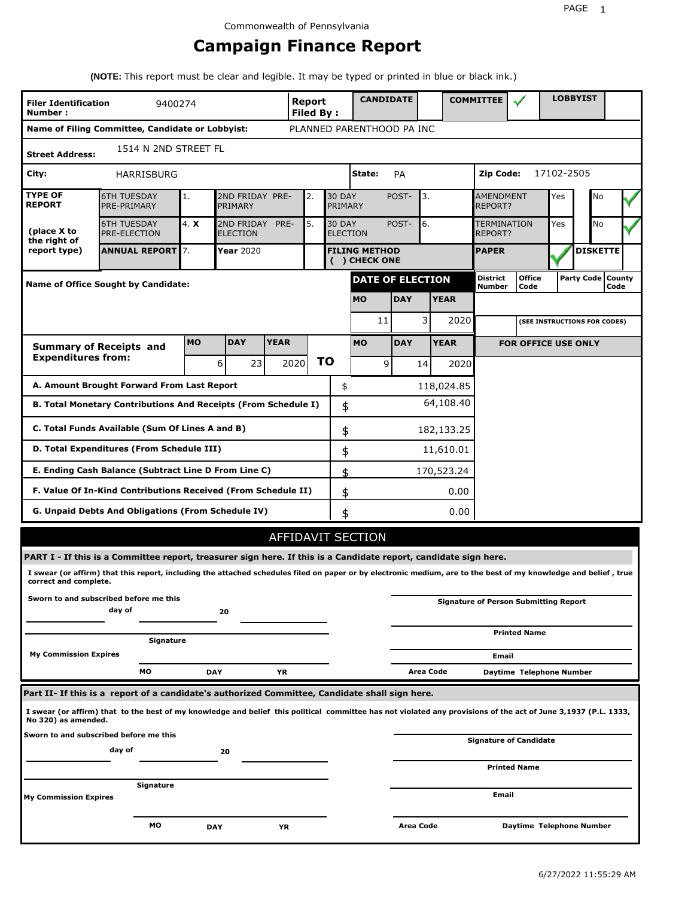# **Campaign Finance Report**

**(NOTE:** This report must be clear and legible. It may be typed or printed in blue or black ink.)

| <b>Filer Identification</b><br>9400274<br>Number: |                                                                                                                                                                 |                                                                                         |            |             | <b>Report</b><br><b>Filed By:</b> |    | <b>CANDIDATE</b>          |                  |             | <b>COMMITTEE</b>                             |                               |            | <b>LOBBYIST</b>              |                             |  |
|---------------------------------------------------|-----------------------------------------------------------------------------------------------------------------------------------------------------------------|-----------------------------------------------------------------------------------------|------------|-------------|-----------------------------------|----|---------------------------|------------------|-------------|----------------------------------------------|-------------------------------|------------|------------------------------|-----------------------------|--|
|                                                   | Name of Filing Committee, Candidate or Lobbyist:                                                                                                                |                                                                                         |            |             |                                   |    | PLANNED PARENTHOOD PA INC |                  |             |                                              |                               |            |                              |                             |  |
| <b>Street Address:</b>                            | 1514 N 2ND STREET FL                                                                                                                                            |                                                                                         |            |             |                                   |    |                           |                  |             |                                              |                               |            |                              |                             |  |
| City:                                             | HARRISBURG                                                                                                                                                      |                                                                                         |            |             |                                   |    | State:                    | <b>PA</b>        |             | Zip Code:                                    |                               | 17102-2505 |                              |                             |  |
| <b>TYPE OF</b><br><b>REPORT</b>                   | <b>6TH TUESDAY</b><br>PRE-PRIMARY                                                                                                                               | 2ND FRIDAY PRE-<br>2.<br>1.<br>PRIMARY                                                  |            |             |                                   |    | <b>30 DAY</b><br>PRIMARY  | POST-            | 3.          | <b>AMENDMENT</b><br><b>REPORT?</b>           |                               | Yes        | No                           |                             |  |
| (place X to<br>the right of                       | <b>6TH TUESDAY</b><br><b>PRE-ELECTION</b>                                                                                                                       | 4. X<br>2ND FRIDAY<br>PRE-<br>5.<br><b>30 DAY</b><br><b>ELECTION</b><br><b>ELECTION</b> |            |             |                                   |    |                           | POST-            | 6.          | REPORT?                                      | TERMINATION                   | Yes        | No                           |                             |  |
| report type)                                      | <b>ANNUAL REPORT</b> 7.<br>Year 2020<br><b>FILING METHOD</b><br>() CHECK ONE                                                                                    |                                                                                         |            |             |                                   |    |                           | <b>PAPER</b>     |             |                                              | <b>DISKETTE</b>               |            |                              |                             |  |
|                                                   | Name of Office Sought by Candidate:                                                                                                                             |                                                                                         |            |             |                                   |    | <b>DATE OF ELECTION</b>   |                  |             | <b>District</b><br><b>Number</b>             | <b>Office</b><br>Code         |            |                              | Party Code   County<br>Code |  |
|                                                   |                                                                                                                                                                 |                                                                                         |            |             |                                   |    | <b>MO</b>                 | <b>DAY</b>       | <b>YEAR</b> |                                              |                               |            |                              |                             |  |
|                                                   |                                                                                                                                                                 |                                                                                         |            |             |                                   |    | 11                        |                  | 3           | 2020                                         |                               |            | (SEE INSTRUCTIONS FOR CODES) |                             |  |
|                                                   | <b>Summary of Receipts and</b>                                                                                                                                  | <b>MO</b>                                                                               | <b>DAY</b> | <b>YEAR</b> |                                   |    | <b>MO</b>                 | <b>DAY</b>       | <b>YEAR</b> |                                              | <b>FOR OFFICE USE ONLY</b>    |            |                              |                             |  |
| <b>Expenditures from:</b>                         |                                                                                                                                                                 |                                                                                         | 6<br>23    |             | 2020                              | ΤO | 9                         |                  | 14          | 2020                                         |                               |            |                              |                             |  |
|                                                   | A. Amount Brought Forward From Last Report                                                                                                                      |                                                                                         |            |             |                                   | \$ |                           |                  | 118,024.85  |                                              |                               |            |                              |                             |  |
|                                                   | B. Total Monetary Contributions And Receipts (From Schedule I)                                                                                                  |                                                                                         |            |             |                                   | \$ |                           |                  | 64,108.40   |                                              |                               |            |                              |                             |  |
|                                                   | C. Total Funds Available (Sum Of Lines A and B)                                                                                                                 |                                                                                         |            |             |                                   | \$ |                           |                  | 182,133.25  |                                              |                               |            |                              |                             |  |
|                                                   | D. Total Expenditures (From Schedule III)                                                                                                                       |                                                                                         |            |             |                                   |    | \$<br>11,610.01           |                  |             |                                              |                               |            |                              |                             |  |
|                                                   | E. Ending Cash Balance (Subtract Line D From Line C)                                                                                                            |                                                                                         |            |             |                                   | \$ | 170,523.24                |                  |             |                                              |                               |            |                              |                             |  |
|                                                   | F. Value Of In-Kind Contributions Received (From Schedule II)                                                                                                   |                                                                                         |            |             |                                   |    | \$<br>0.00                |                  |             |                                              |                               |            |                              |                             |  |
|                                                   | <b>G. Unpaid Debts And Obligations (From Schedule IV)</b>                                                                                                       |                                                                                         |            |             |                                   | \$ |                           |                  |             | 0.00                                         |                               |            |                              |                             |  |
|                                                   |                                                                                                                                                                 |                                                                                         |            |             |                                   |    | AFFIDAVIT SECTION         |                  |             |                                              |                               |            |                              |                             |  |
|                                                   | PART I - If this is a Committee report, treasurer sign here. If this is a Candidate report, candidate sign here.                                                |                                                                                         |            |             |                                   |    |                           |                  |             |                                              |                               |            |                              |                             |  |
| correct and complete.                             | I swear (or affirm) that this report, including the attached schedules filed on paper or by electronic medium, are to the best of my knowledge and belief, true |                                                                                         |            |             |                                   |    |                           |                  |             |                                              |                               |            |                              |                             |  |
|                                                   | Sworn to and subscribed before me this<br>day of                                                                                                                |                                                                                         | 20         |             |                                   |    |                           |                  |             | <b>Signature of Person Submitting Report</b> |                               |            |                              |                             |  |
|                                                   | Signature                                                                                                                                                       |                                                                                         |            |             |                                   |    |                           |                  |             |                                              | <b>Printed Name</b>           |            |                              |                             |  |
| <b>My Commission Expires</b>                      |                                                                                                                                                                 |                                                                                         |            |             |                                   |    |                           |                  |             | Email                                        |                               |            |                              |                             |  |
|                                                   | МO                                                                                                                                                              |                                                                                         | <b>DAY</b> | YR          |                                   |    |                           |                  | Area Code   |                                              | Daytime Telephone Number      |            |                              |                             |  |
|                                                   | Part II- If this is a report of a candidate's authorized Committee, Candidate shall sign here.                                                                  |                                                                                         |            |             |                                   |    |                           |                  |             |                                              |                               |            |                              |                             |  |
| No 320) as amended.                               | I swear (or affirm) that to the best of my knowledge and belief this political committee has not violated any provisions of the act of June 3,1937 (P.L. 1333,  |                                                                                         |            |             |                                   |    |                           |                  |             |                                              |                               |            |                              |                             |  |
|                                                   | Sworn to and subscribed before me this<br>day of                                                                                                                |                                                                                         | 20         |             |                                   |    |                           |                  |             |                                              | <b>Signature of Candidate</b> |            |                              |                             |  |
|                                                   |                                                                                                                                                                 |                                                                                         |            |             |                                   |    |                           |                  |             |                                              | <b>Printed Name</b>           |            |                              |                             |  |
| My Commission Expires                             | Signature                                                                                                                                                       |                                                                                         |            |             |                                   |    |                           |                  |             | Email                                        |                               |            |                              |                             |  |
|                                                   | МO                                                                                                                                                              |                                                                                         | <b>DAY</b> | YR          |                                   |    |                           | <b>Area Code</b> |             |                                              | Daytime Telephone Number      |            |                              |                             |  |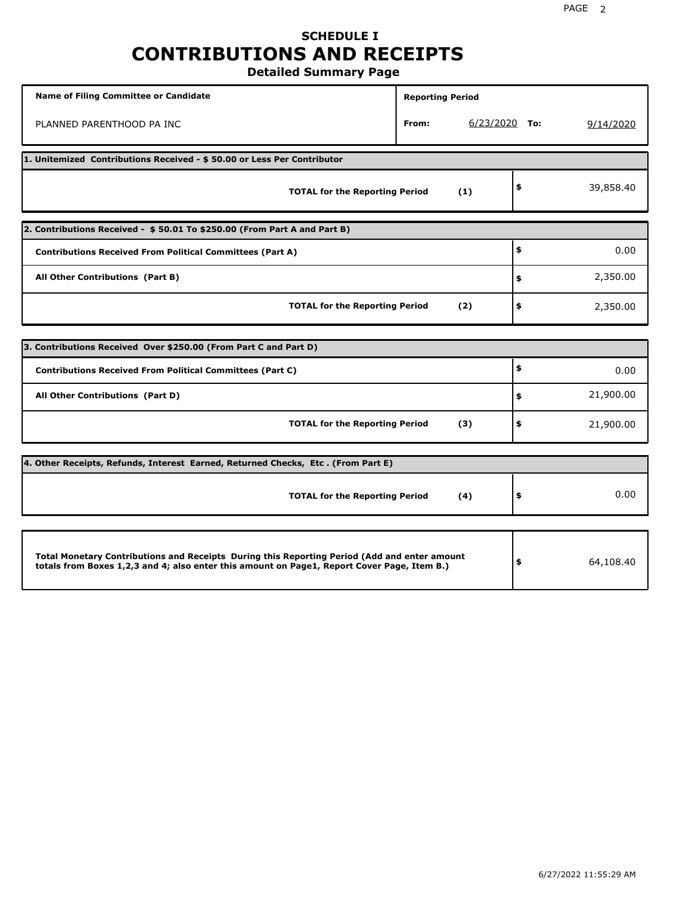# **SCHEDULE I CONTRIBUTIONS AND RECEIPTS**

**Detailed Summary Page**

| Name of Filing Committee or Candidate                                                                                                                                                       | <b>Reporting Period</b> |                 |                 |
|---------------------------------------------------------------------------------------------------------------------------------------------------------------------------------------------|-------------------------|-----------------|-----------------|
| PLANNED PARENTHOOD PA INC                                                                                                                                                                   | From:                   | $6/23/2020$ To: | 9/14/2020       |
| 1. Unitemized Contributions Received - \$50.00 or Less Per Contributor                                                                                                                      |                         |                 |                 |
| <b>TOTAL for the Reporting Period</b>                                                                                                                                                       |                         | (1)             | \$<br>39,858.40 |
| 2. Contributions Received - \$50.01 To \$250.00 (From Part A and Part B)                                                                                                                    |                         |                 |                 |
| <b>Contributions Received From Political Committees (Part A)</b>                                                                                                                            |                         |                 | \$<br>0.00      |
| All Other Contributions (Part B)                                                                                                                                                            |                         |                 | \$<br>2,350.00  |
| <b>TOTAL for the Reporting Period</b>                                                                                                                                                       |                         | (2)             | \$<br>2,350.00  |
| 3. Contributions Received Over \$250.00 (From Part C and Part D)                                                                                                                            |                         |                 |                 |
| <b>Contributions Received From Political Committees (Part C)</b>                                                                                                                            |                         |                 | \$<br>0.00      |
|                                                                                                                                                                                             |                         |                 |                 |
| All Other Contributions (Part D)                                                                                                                                                            |                         |                 | \$<br>21,900.00 |
| <b>TOTAL for the Reporting Period</b>                                                                                                                                                       |                         | (3)             | \$<br>21,900.00 |
| 4. Other Receipts, Refunds, Interest Earned, Returned Checks, Etc. (From Part E)                                                                                                            |                         |                 |                 |
| <b>TOTAL for the Reporting Period</b>                                                                                                                                                       |                         | (4)             | \$<br>0.00      |
|                                                                                                                                                                                             |                         |                 |                 |
| Total Monetary Contributions and Receipts During this Reporting Period (Add and enter amount<br>totals from Boxes 1,2,3 and 4; also enter this amount on Page1, Report Cover Page, Item B.) |                         |                 | \$<br>64,108.40 |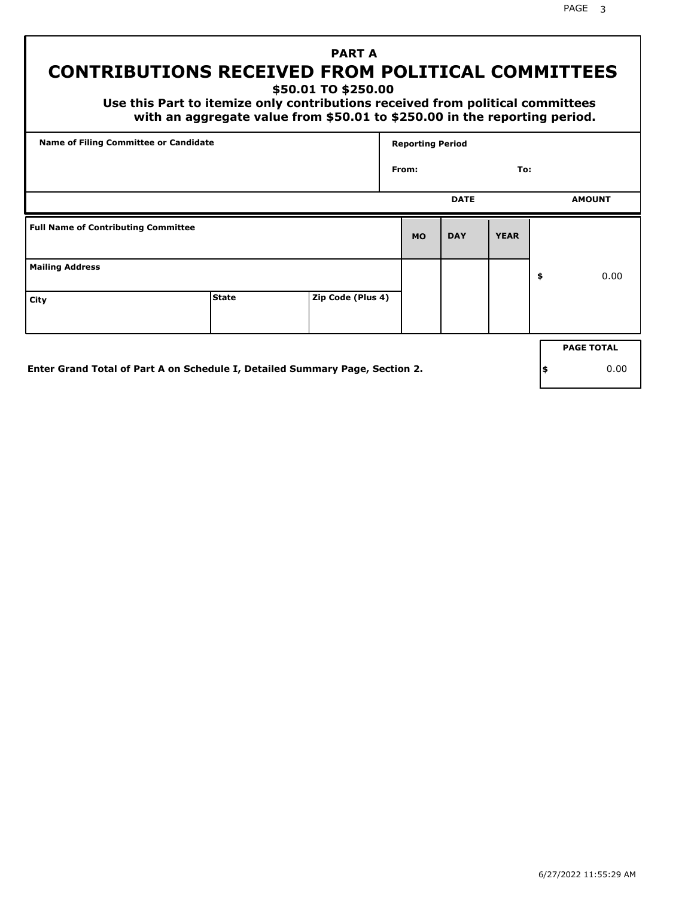# **CONTRIBUTIONS RECEIVED FROM POLITICAL COMMITTEES**

**\$50.01 TO \$250.00**

 **Use this Part to itemize only contributions received from political committees with an aggregate value from \$50.01 to \$250.00 in the reporting period.**

 **PART A**

| Name of Filing Committee or Candidate      |              |                   |           | <b>Reporting Period</b> |               |    |                   |  |  |
|--------------------------------------------|--------------|-------------------|-----------|-------------------------|---------------|----|-------------------|--|--|
|                                            | From:        |                   |           | To:                     |               |    |                   |  |  |
|                                            |              | <b>DATE</b>       |           |                         | <b>AMOUNT</b> |    |                   |  |  |
| <b>Full Name of Contributing Committee</b> |              |                   | <b>MO</b> | <b>DAY</b>              | <b>YEAR</b>   |    |                   |  |  |
| <b>Mailing Address</b>                     |              |                   |           |                         |               | \$ | 0.00              |  |  |
| City                                       | <b>State</b> | Zip Code (Plus 4) |           |                         |               |    |                   |  |  |
|                                            |              |                   |           |                         |               |    | <b>PAGE TOTAL</b> |  |  |
|                                            |              |                   |           |                         |               |    |                   |  |  |

**Enter Grand Total of Part A on Schedule I, Detailed Summary Page, Section 2.**

**\$** 0.00

PAGE 3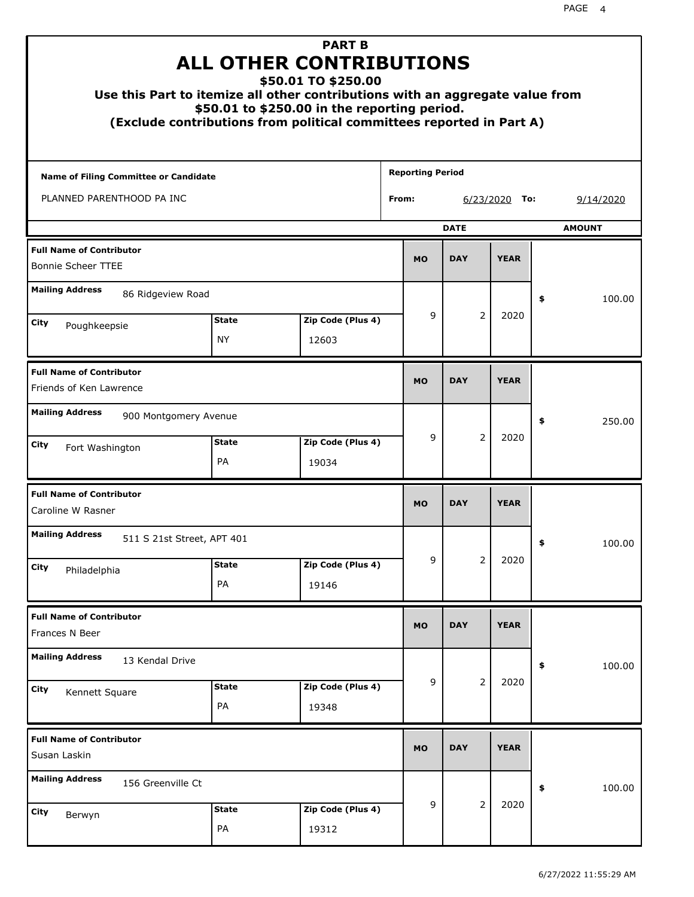| Use this Part to itemize all other contributions with an aggregate value from<br>(Exclude contributions from political committees reported in Part A) |                    | <b>PART B</b><br><b>ALL OTHER CONTRIBUTIONS</b><br>\$50.01 TO \$250.00<br>\$50.01 to \$250.00 in the reporting period. |                         |           |                |                 |    |           |
|-------------------------------------------------------------------------------------------------------------------------------------------------------|--------------------|------------------------------------------------------------------------------------------------------------------------|-------------------------|-----------|----------------|-----------------|----|-----------|
| <b>Name of Filing Committee or Candidate</b>                                                                                                          |                    |                                                                                                                        | <b>Reporting Period</b> |           |                |                 |    |           |
| PLANNED PARENTHOOD PA INC                                                                                                                             |                    |                                                                                                                        | From:                   |           |                | $6/23/2020$ To: |    | 9/14/2020 |
|                                                                                                                                                       |                    |                                                                                                                        | <b>DATE</b>             |           | <b>AMOUNT</b>  |                 |    |           |
| <b>Full Name of Contributor</b><br><b>Bonnie Scheer TTEE</b>                                                                                          |                    |                                                                                                                        |                         | <b>MO</b> | <b>DAY</b>     | <b>YEAR</b>     |    |           |
| <b>Mailing Address</b><br>86 Ridgeview Road                                                                                                           |                    |                                                                                                                        |                         |           |                |                 | \$ | 100.00    |
| City                                                                                                                                                  | <b>State</b>       | Zip Code (Plus 4)                                                                                                      |                         | 9         | 2              | 2020            |    |           |
| Poughkeepsie                                                                                                                                          | <b>NY</b>          | 12603                                                                                                                  |                         |           |                |                 |    |           |
| <b>Full Name of Contributor</b><br>Friends of Ken Lawrence                                                                                            |                    |                                                                                                                        |                         | <b>MO</b> | <b>DAY</b>     | <b>YEAR</b>     |    |           |
| <b>Mailing Address</b><br>900 Montgomery Avenue                                                                                                       |                    |                                                                                                                        |                         |           |                |                 | \$ | 250.00    |
| City<br>Fort Washington                                                                                                                               | <b>State</b><br>PA | Zip Code (Plus 4)<br>19034                                                                                             |                         | 9         | 2              | 2020            |    |           |
| <b>Full Name of Contributor</b><br>Caroline W Rasner                                                                                                  |                    |                                                                                                                        |                         | <b>MO</b> | <b>DAY</b>     | <b>YEAR</b>     |    |           |
| <b>Mailing Address</b><br>511 S 21st Street, APT 401                                                                                                  |                    |                                                                                                                        |                         |           |                |                 | ≯  | 100.00    |
| <b>City</b><br>Philadelphia                                                                                                                           | <b>State</b><br>PA | Zip Code (Plus 4)<br>19146                                                                                             |                         | 9         | $\overline{2}$ | 2020            |    |           |
|                                                                                                                                                       |                    |                                                                                                                        |                         |           |                |                 |    |           |
| <b>Full Name of Contributor</b><br>Frances N Beer                                                                                                     |                    |                                                                                                                        |                         | <b>MO</b> | <b>DAY</b>     | <b>YEAR</b>     |    |           |
| <b>Mailing Address</b><br>13 Kendal Drive                                                                                                             |                    |                                                                                                                        |                         |           |                |                 | \$ | 100.00    |
| City<br>Kennett Square                                                                                                                                | <b>State</b><br>PA | Zip Code (Plus 4)<br>19348                                                                                             |                         | 9         | $\overline{2}$ | 2020            |    |           |
| <b>Full Name of Contributor</b><br>Susan Laskin                                                                                                       |                    |                                                                                                                        |                         | <b>MO</b> | <b>DAY</b>     | <b>YEAR</b>     |    |           |
| <b>Mailing Address</b><br>156 Greenville Ct                                                                                                           |                    |                                                                                                                        |                         |           |                |                 | \$ | 100.00    |
| <b>City</b><br>Berwyn                                                                                                                                 | <b>State</b><br>PA | Zip Code (Plus 4)<br>19312                                                                                             |                         | 9         | $\overline{2}$ | 2020            |    |           |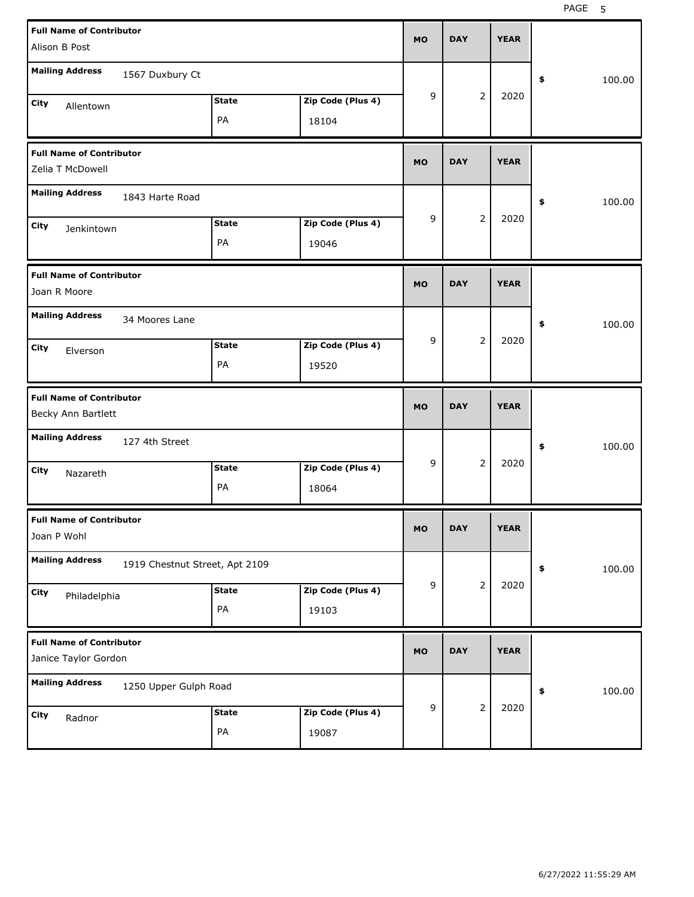| <b>Full Name of Contributor</b><br>Alison B Post        |                                | <b>MO</b>          | <b>DAY</b>                 |           | <b>YEAR</b> |                |             |              |
|---------------------------------------------------------|--------------------------------|--------------------|----------------------------|-----------|-------------|----------------|-------------|--------------|
| <b>Mailing Address</b>                                  | 1567 Duxbury Ct                |                    |                            |           |             |                |             | \$<br>100.00 |
| City<br>Allentown                                       |                                | <b>State</b><br>PA | Zip Code (Plus 4)<br>18104 | 9         |             | $\overline{2}$ | 2020        |              |
| <b>Full Name of Contributor</b><br>Zelia T McDowell     |                                |                    |                            | <b>MO</b> | <b>DAY</b>  |                | <b>YEAR</b> |              |
| <b>Mailing Address</b>                                  | 1843 Harte Road                |                    |                            |           |             |                |             | \$<br>100.00 |
| City<br>Jenkintown                                      |                                | <b>State</b><br>PA | Zip Code (Plus 4)<br>19046 | 9         |             | $\overline{2}$ | 2020        |              |
| <b>Full Name of Contributor</b><br>Joan R Moore         |                                |                    |                            | <b>MO</b> | <b>DAY</b>  |                | <b>YEAR</b> |              |
| <b>Mailing Address</b>                                  | 34 Moores Lane                 |                    |                            |           |             |                |             | \$<br>100.00 |
| City<br>Elverson                                        |                                | <b>State</b><br>PA | Zip Code (Plus 4)<br>19520 | 9         |             | $\overline{2}$ | 2020        |              |
|                                                         |                                |                    |                            |           |             |                |             |              |
| <b>Full Name of Contributor</b><br>Becky Ann Bartlett   |                                |                    |                            | <b>MO</b> | <b>DAY</b>  |                | <b>YEAR</b> |              |
| <b>Mailing Address</b>                                  | 127 4th Street                 |                    |                            |           |             |                |             | \$<br>100.00 |
| City<br>Nazareth                                        |                                | <b>State</b><br>PA | Zip Code (Plus 4)<br>18064 | 9         |             | $\overline{2}$ | 2020        |              |
| <b>Full Name of Contributor</b><br>Joan P Wohl          |                                |                    |                            | MO        | <b>DAY</b>  |                | <b>YEAR</b> |              |
| <b>Mailing Address</b>                                  | 1919 Chestnut Street, Apt 2109 |                    |                            |           |             |                |             | \$<br>100.00 |
| City<br>Philadelphia                                    |                                | <b>State</b><br>PA | Zip Code (Plus 4)<br>19103 | 9         |             | $\overline{2}$ | 2020        |              |
| <b>Full Name of Contributor</b><br>Janice Taylor Gordon |                                |                    |                            | <b>MO</b> | <b>DAY</b>  |                | <b>YEAR</b> |              |
| <b>Mailing Address</b>                                  | 1250 Upper Gulph Road          |                    |                            |           |             | $\overline{2}$ | 2020        | \$<br>100.00 |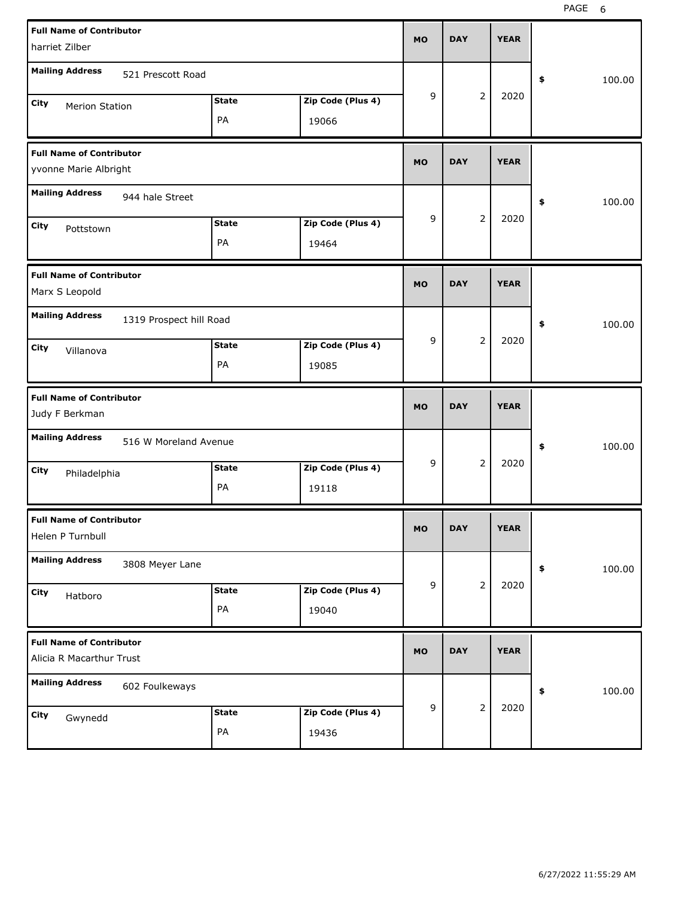| <b>Full Name of Contributor</b>                             | <b>MO</b>              | <b>DAY</b>     | <b>YEAR</b> |              |
|-------------------------------------------------------------|------------------------|----------------|-------------|--------------|
| harriet Zilber                                              |                        |                |             |              |
| <b>Mailing Address</b><br>521 Prescott Road                 |                        |                |             | \$<br>100.00 |
| <b>State</b><br>City<br><b>Merion Station</b>               | 9<br>Zip Code (Plus 4) | 2              | 2020        |              |
| PA                                                          | 19066                  |                |             |              |
| <b>Full Name of Contributor</b>                             | <b>MO</b>              | <b>DAY</b>     | <b>YEAR</b> |              |
| yvonne Marie Albright                                       |                        |                |             |              |
| <b>Mailing Address</b><br>944 hale Street                   |                        |                |             | \$<br>100.00 |
| <b>State</b><br>City<br>Pottstown                           | 9<br>Zip Code (Plus 4) | 2              | 2020        |              |
| PA                                                          | 19464                  |                |             |              |
| <b>Full Name of Contributor</b>                             | <b>MO</b>              | <b>DAY</b>     | <b>YEAR</b> |              |
| Marx S Leopold                                              |                        |                |             |              |
| <b>Mailing Address</b><br>1319 Prospect hill Road           |                        |                |             | \$<br>100.00 |
| <b>State</b><br>City<br>Villanova                           | 9<br>Zip Code (Plus 4) | 2              | 2020        |              |
| PA                                                          | 19085                  |                |             |              |
|                                                             |                        |                |             |              |
| <b>Full Name of Contributor</b><br>Judy F Berkman           | <b>MO</b>              | <b>DAY</b>     | <b>YEAR</b> |              |
| <b>Mailing Address</b><br>516 W Moreland Avenue             |                        |                |             | \$<br>100.00 |
| <b>State</b><br>City                                        | 9<br>Zip Code (Plus 4) | 2              | 2020        |              |
| Philadelphia<br>PA                                          | 19118                  |                |             |              |
| <b>Full Name of Contributor</b>                             |                        |                |             |              |
| Helen P Turnbull                                            | мo                     | <b>DAY</b>     | <b>YEAR</b> |              |
| <b>Mailing Address</b><br>3808 Meyer Lane                   |                        |                |             | \$<br>100.00 |
| <b>State</b><br>City                                        | 9<br>Zip Code (Plus 4) | $\overline{2}$ | 2020        |              |
| Hatboro<br>PA                                               | 19040                  |                |             |              |
| <b>Full Name of Contributor</b><br>Alicia R Macarthur Trust | <b>MO</b>              | <b>DAY</b>     | <b>YEAR</b> |              |
| <b>Mailing Address</b><br>602 Foulkeways                    |                        |                |             | 100.00<br>\$ |
| <b>State</b><br>City<br>Gwynedd                             | 9<br>Zip Code (Plus 4) | $\overline{2}$ | 2020        |              |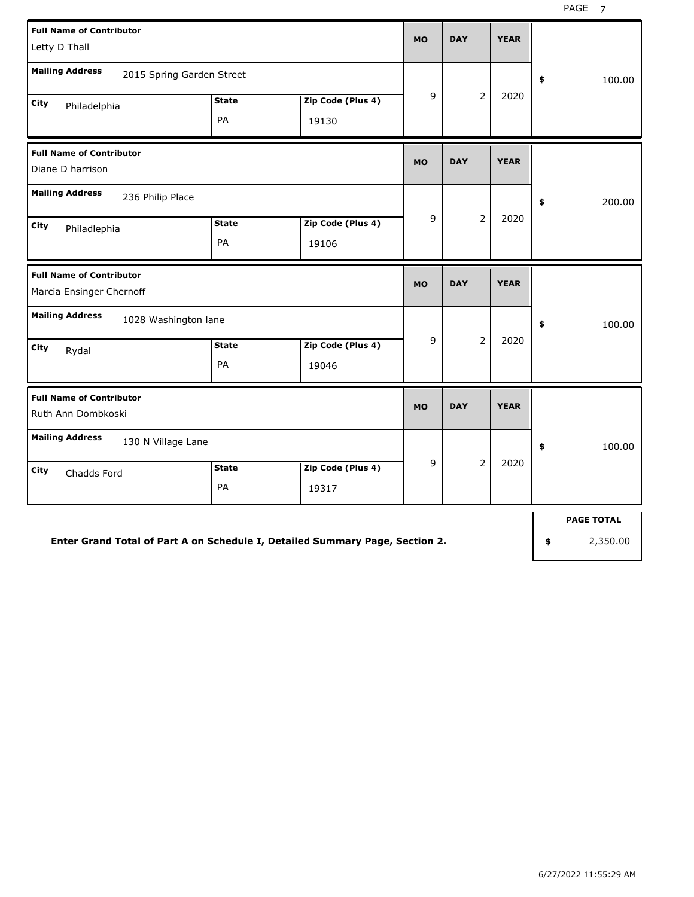| <b>Full Name of Contributor</b><br>Letty D Thall                          | <b>MO</b>          | <b>DAY</b>                 | <b>YEAR</b> |                |              |              |
|---------------------------------------------------------------------------|--------------------|----------------------------|-------------|----------------|--------------|--------------|
| <b>Mailing Address</b><br>2015 Spring Garden Street                       |                    |                            |             |                |              | \$<br>100.00 |
| City<br>Philadelphia                                                      | <b>State</b><br>PA | Zip Code (Plus 4)<br>19130 | 9           | $\overline{2}$ | 2020         |              |
| <b>Full Name of Contributor</b><br>Diane D harrison                       |                    |                            | <b>MO</b>   | <b>DAY</b>     | <b>YEAR</b>  |              |
| <b>Mailing Address</b><br>236 Philip Place<br><b>City</b><br>Philadlephia | <b>State</b><br>PA | Zip Code (Plus 4)<br>19106 | 9           | $\overline{2}$ | 2020         | \$<br>200.00 |
| <b>Full Name of Contributor</b><br>Marcia Ensinger Chernoff               |                    |                            | <b>MO</b>   | <b>DAY</b>     | <b>YEAR</b>  |              |
| <b>Mailing Address</b><br>1028 Washington lane                            |                    |                            |             |                |              | \$<br>100.00 |
| City<br>Rydal                                                             | <b>State</b><br>PA | Zip Code (Plus 4)<br>19046 | 9           | $\overline{2}$ | 2020         |              |
| <b>Full Name of Contributor</b><br>Ruth Ann Dombkoski                     |                    |                            | <b>MO</b>   | <b>DAY</b>     | <b>YEAR</b>  |              |
| <b>Mailing Address</b><br>130 N Village Lane                              |                    |                            |             |                | 100.00<br>\$ |              |
| City<br>Chadds Ford                                                       | <b>State</b><br>PA | Zip Code (Plus 4)<br>19317 | 9           | $\overline{2}$ | 2020         |              |

**PAGE TOTAL**

**Enter Grand Total of Part A on Schedule I, Detailed Summary Page, Section 2.**

**\$** 2,350.00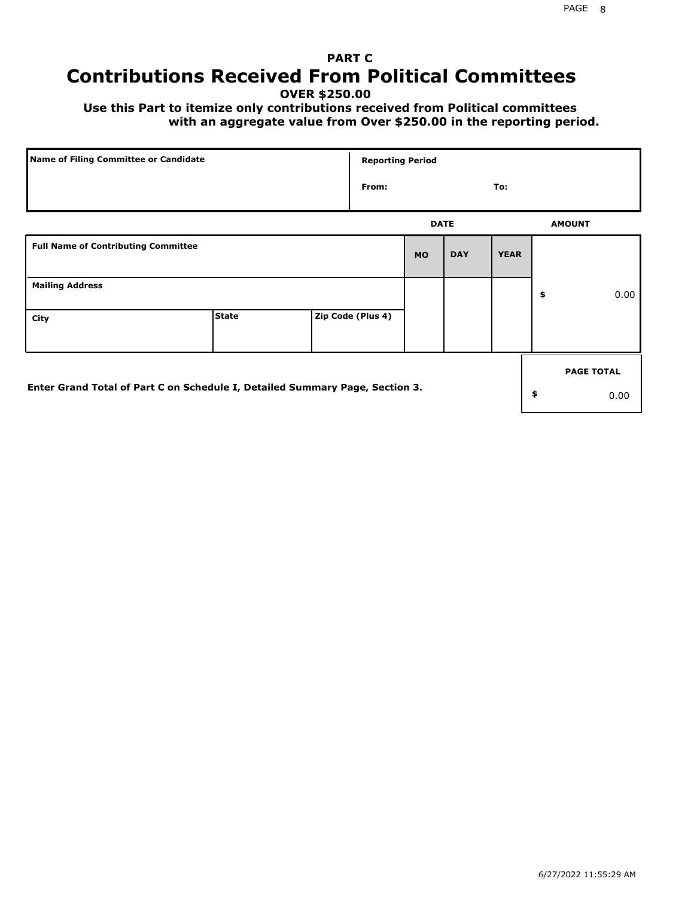# **PART C Contributions Received From Political Committees**

**OVER \$250.00**

 **Use this Part to itemize only contributions received from Political committees with an aggregate value from Over \$250.00 in the reporting period.**

| Name of Filing Committee or Candidate                                        | <b>Reporting Period</b> |  |                   |           |             |             |    |                   |
|------------------------------------------------------------------------------|-------------------------|--|-------------------|-----------|-------------|-------------|----|-------------------|
|                                                                              |                         |  | From:             |           |             | To:         |    |                   |
|                                                                              |                         |  |                   |           | <b>DATE</b> |             |    | <b>AMOUNT</b>     |
| <b>Full Name of Contributing Committee</b>                                   |                         |  |                   | <b>MO</b> | <b>DAY</b>  | <b>YEAR</b> |    |                   |
| <b>Mailing Address</b>                                                       |                         |  |                   |           |             |             | \$ | 0.00              |
| City                                                                         | <b>State</b>            |  | Zip Code (Plus 4) |           |             |             |    |                   |
|                                                                              |                         |  |                   |           |             |             |    | <b>PAGE TOTAL</b> |
| Enter Grand Total of Part C on Schedule I, Detailed Summary Page, Section 3. |                         |  |                   |           |             |             | \$ | 0.00              |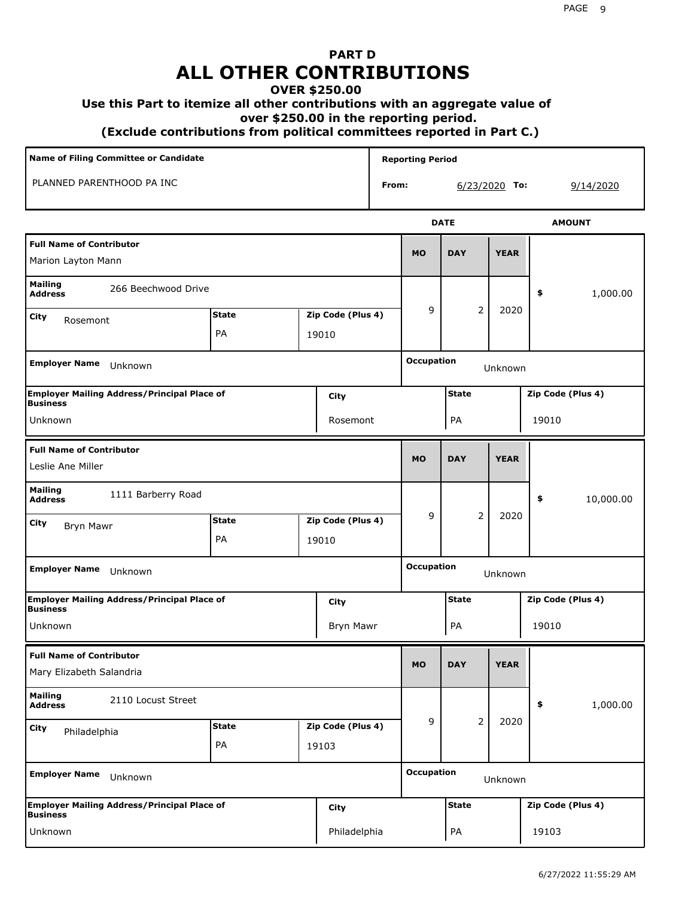# **PART D ALL OTHER CONTRIBUTIONS**

#### **OVER \$250.00**

#### **Use this Part to itemize all other contributions with an aggregate value of**

 **over \$250.00 in the reporting period.**

 **(Exclude contributions from political committees reported in Part C.)** 

| Name of Filing Committee or Candidate                                                |                     |  |                   |              | <b>Reporting Period</b> |                |                   |                   |  |  |
|--------------------------------------------------------------------------------------|---------------------|--|-------------------|--------------|-------------------------|----------------|-------------------|-------------------|--|--|
| PLANNED PARENTHOOD PA INC<br>From:                                                   |                     |  |                   |              |                         |                | $6/23/2020$ To:   | 9/14/2020         |  |  |
|                                                                                      |                     |  |                   |              |                         | <b>DATE</b>    |                   | <b>AMOUNT</b>     |  |  |
| <b>Full Name of Contributor</b><br>Marion Layton Mann                                |                     |  |                   |              | <b>MO</b>               | <b>DAY</b>     | <b>YEAR</b>       |                   |  |  |
| <b>Mailing</b><br><b>Address</b>                                                     | 266 Beechwood Drive |  |                   |              |                         |                |                   | 1,000.00<br>\$    |  |  |
| City<br>Rosemont                                                                     | <b>State</b>        |  | Zip Code (Plus 4) |              | 9                       | 2              | 2020              |                   |  |  |
|                                                                                      | PA<br>19010         |  |                   |              |                         |                |                   |                   |  |  |
| <b>Employer Name</b><br>Unknown                                                      |                     |  |                   |              | <b>Occupation</b>       |                | Unknown           |                   |  |  |
| <b>Employer Mailing Address/Principal Place of</b><br><b>Business</b>                |                     |  | City              |              |                         | <b>State</b>   |                   | Zip Code (Plus 4) |  |  |
| Unknown                                                                              |                     |  | Rosemont          |              |                         | PA             |                   | 19010             |  |  |
| <b>Full Name of Contributor</b><br>Leslie Ane Miller                                 |                     |  |                   |              | <b>MO</b>               | <b>DAY</b>     | <b>YEAR</b>       |                   |  |  |
| <b>Mailing</b><br>1111 Barberry Road<br><b>Address</b>                               |                     |  |                   |              |                         |                |                   | 10,000.00<br>\$   |  |  |
| City<br><b>Bryn Mawr</b>                                                             | <b>State</b>        |  | Zip Code (Plus 4) |              | 9                       | $\overline{2}$ | 2020              |                   |  |  |
|                                                                                      | PA                  |  | 19010             |              |                         |                |                   |                   |  |  |
| <b>Employer Name</b><br>Unknown                                                      |                     |  |                   |              | <b>Occupation</b>       |                | Unknown           |                   |  |  |
| <b>Employer Mailing Address/Principal Place of</b><br><b>Business</b>                |                     |  | City              |              | <b>State</b>            |                |                   | Zip Code (Plus 4) |  |  |
| Unknown                                                                              |                     |  | Bryn Mawr         |              |                         | PA             |                   | 19010             |  |  |
| <b>Full Name of Contributor</b><br>Mary Elizabeth Salandria                          |                     |  |                   |              | <b>MO</b>               | <b>DAY</b>     | <b>YEAR</b>       |                   |  |  |
| <b>Mailing</b><br>2110 Locust Street<br><b>Address</b>                               |                     |  |                   |              |                         |                |                   | 1,000.00<br>\$    |  |  |
| City<br>Philadelphia                                                                 | <b>State</b>        |  | Zip Code (Plus 4) |              | 9                       | $\overline{2}$ | 2020              |                   |  |  |
|                                                                                      | PA                  |  | 19103             |              |                         |                |                   |                   |  |  |
| <b>Employer Name</b><br>Unknown                                                      |                     |  |                   |              | <b>Occupation</b>       | Unknown        |                   |                   |  |  |
| <b>Employer Mailing Address/Principal Place of</b><br><b>City</b><br><b>Business</b> |                     |  |                   | <b>State</b> |                         |                | Zip Code (Plus 4) |                   |  |  |
| Unknown                                                                              |                     |  | Philadelphia      |              | PA<br>19103             |                |                   |                   |  |  |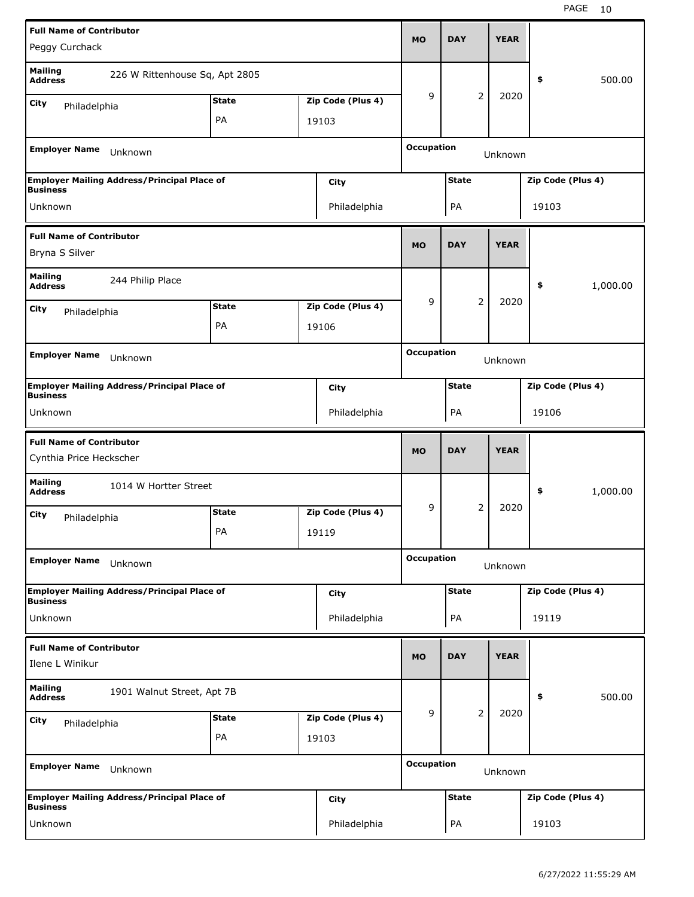| <b>Full Name of Contributor</b>                            |                                                    |              |  |                   | <b>MO</b>                         | <b>DAY</b>   |                | <b>YEAR</b> |                   |          |
|------------------------------------------------------------|----------------------------------------------------|--------------|--|-------------------|-----------------------------------|--------------|----------------|-------------|-------------------|----------|
| Peggy Curchack                                             |                                                    |              |  |                   |                                   |              |                |             |                   |          |
| <b>Mailing</b><br><b>Address</b>                           | 226 W Rittenhouse Sq, Apt 2805                     |              |  |                   |                                   |              |                |             | \$                | 500.00   |
| City<br>Philadelphia                                       |                                                    | <b>State</b> |  | Zip Code (Plus 4) | 9                                 |              | 2              | 2020        |                   |          |
|                                                            |                                                    | PA           |  | 19103             |                                   |              |                |             |                   |          |
| <b>Employer Name</b>                                       | Unknown                                            |              |  |                   | <b>Occupation</b><br>Unknown      |              |                |             |                   |          |
| <b>Business</b>                                            | <b>Employer Mailing Address/Principal Place of</b> |              |  | City              |                                   | <b>State</b> |                |             | Zip Code (Plus 4) |          |
| Unknown<br>Philadelphia                                    |                                                    |              |  |                   |                                   | PA<br>19103  |                |             |                   |          |
| <b>Full Name of Contributor</b><br>Bryna S Silver          |                                                    |              |  |                   |                                   | <b>DAY</b>   |                | <b>YEAR</b> |                   |          |
| <b>Mailing</b><br>244 Philip Place<br><b>Address</b>       |                                                    |              |  |                   |                                   |              |                |             | \$                | 1,000.00 |
| City                                                       | <b>State</b><br>Zip Code (Plus 4)                  |              |  |                   |                                   |              | 2              | 2020        |                   |          |
|                                                            | Philadelphia<br>PA<br>19106                        |              |  |                   |                                   |              |                |             |                   |          |
|                                                            |                                                    |              |  |                   |                                   |              |                |             |                   |          |
| <b>Employer Name</b>                                       | Unknown                                            |              |  |                   | <b>Occupation</b><br>Unknown      |              |                |             |                   |          |
| <b>Business</b>                                            | <b>Employer Mailing Address/Principal Place of</b> |              |  | City              | <b>State</b><br>Zip Code (Plus 4) |              |                |             |                   |          |
| Unknown                                                    |                                                    |              |  | Philadelphia      |                                   | PA           |                |             | 19106             |          |
|                                                            |                                                    |              |  |                   |                                   |              |                |             |                   |          |
| <b>Full Name of Contributor</b><br>Cynthia Price Heckscher |                                                    |              |  |                   | <b>MO</b>                         | <b>DAY</b>   |                | <b>YEAR</b> |                   |          |
| <b>Mailing</b><br><b>Address</b>                           | 1014 W Hortter Street                              |              |  |                   |                                   |              |                |             | \$                | 1,000.00 |
| City<br>Philadelphia                                       |                                                    | <b>State</b> |  | Zip Code (Plus 4) | 9                                 |              | 2              | 2020        |                   |          |
|                                                            |                                                    | PA           |  | 19119             |                                   |              |                |             |                   |          |
| <b>Employer Name</b>                                       | Unknown                                            |              |  |                   | <b>Occupation</b>                 |              |                | Unknown     |                   |          |
|                                                            | <b>Employer Mailing Address/Principal Place of</b> |              |  | <b>City</b>       |                                   | <b>State</b> |                |             | Zip Code (Plus 4) |          |
| <b>Business</b><br>Unknown                                 |                                                    |              |  | Philadelphia      |                                   | PA           |                |             | 19119             |          |
| <b>Full Name of Contributor</b><br>Ilene L Winikur         |                                                    |              |  |                   | <b>MO</b>                         | <b>DAY</b>   |                | <b>YEAR</b> |                   |          |
| <b>Mailing</b><br><b>Address</b>                           | 1901 Walnut Street, Apt 7B                         |              |  |                   |                                   |              |                |             | \$                | 500.00   |
| City                                                       |                                                    | <b>State</b> |  | Zip Code (Plus 4) | 9                                 |              | $\overline{2}$ | 2020        |                   |          |
| Philadelphia                                               |                                                    | PA           |  | 19103             |                                   |              |                |             |                   |          |
| <b>Employer Name</b>                                       | Unknown                                            |              |  |                   | <b>Occupation</b>                 |              |                | Unknown     |                   |          |
| <b>Business</b>                                            | <b>Employer Mailing Address/Principal Place of</b> |              |  | <b>City</b>       |                                   | <b>State</b> |                |             | Zip Code (Plus 4) |          |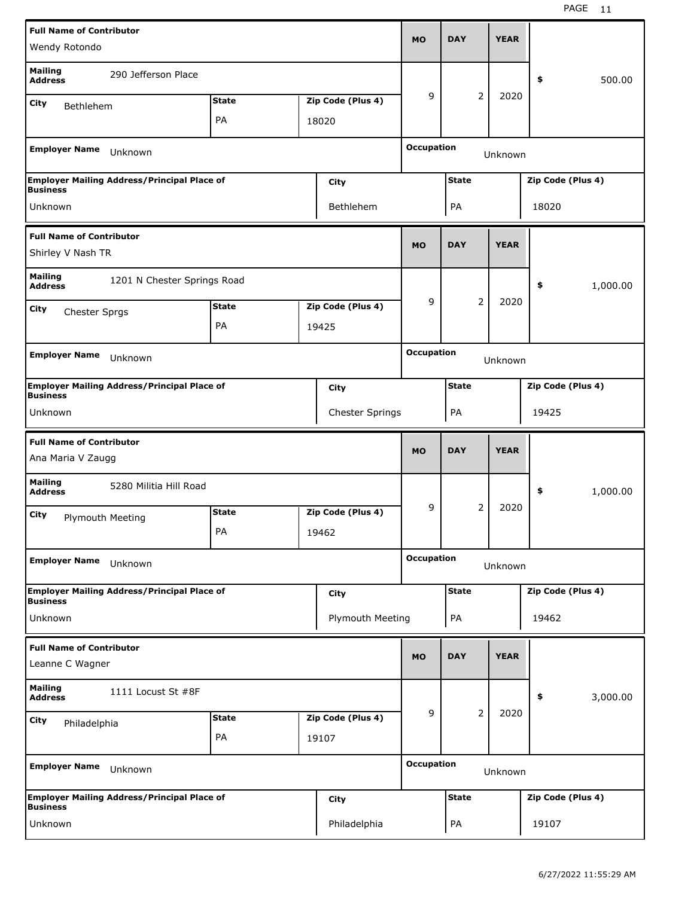| <b>Full Name of Contributor</b>                                 |                                                    |                            |  |                   |                                   |              |                |             |                   |          |
|-----------------------------------------------------------------|----------------------------------------------------|----------------------------|--|-------------------|-----------------------------------|--------------|----------------|-------------|-------------------|----------|
| Wendy Rotondo                                                   |                                                    |                            |  |                   | <b>MO</b>                         | <b>DAY</b>   |                | <b>YEAR</b> |                   |          |
| <b>Mailing</b><br><b>Address</b>                                | 290 Jefferson Place                                |                            |  |                   |                                   |              |                |             | \$                | 500.00   |
| City<br>Bethlehem                                               |                                                    | <b>State</b>               |  | Zip Code (Plus 4) | 9                                 |              | 2              | 2020        |                   |          |
|                                                                 |                                                    | PA                         |  | 18020             |                                   |              |                |             |                   |          |
| <b>Employer Name</b>                                            | Unknown                                            |                            |  |                   | <b>Occupation</b><br>Unknown      |              |                |             |                   |          |
| <b>Business</b>                                                 | <b>Employer Mailing Address/Principal Place of</b> |                            |  | City              | <b>State</b><br>Zip Code (Plus 4) |              |                |             |                   |          |
| Unknown<br>Bethlehem                                            |                                                    |                            |  |                   |                                   | PA           |                |             | 18020             |          |
| <b>Full Name of Contributor</b><br>Shirley V Nash TR            |                                                    |                            |  |                   |                                   | <b>DAY</b>   |                | <b>YEAR</b> |                   |          |
| <b>Mailing</b><br>1201 N Chester Springs Road<br><b>Address</b> |                                                    |                            |  |                   |                                   |              |                |             | \$                | 1,000.00 |
| City                                                            | <b>State</b><br>Zip Code (Plus 4)<br>Chester Sprgs |                            |  |                   |                                   |              | 2              | 2020        |                   |          |
|                                                                 |                                                    | PA                         |  | 19425             |                                   |              |                |             |                   |          |
|                                                                 |                                                    |                            |  |                   |                                   |              |                |             |                   |          |
| <b>Employer Name</b>                                            | Unknown                                            |                            |  |                   | <b>Occupation</b><br>Unknown      |              |                |             |                   |          |
| <b>Business</b>                                                 | <b>Employer Mailing Address/Principal Place of</b> |                            |  | City              | <b>State</b><br>Zip Code (Plus 4) |              |                |             |                   |          |
|                                                                 |                                                    |                            |  |                   |                                   | PA<br>19425  |                |             |                   |          |
|                                                                 |                                                    | Chester Springs<br>Unknown |  |                   |                                   |              |                |             |                   |          |
|                                                                 |                                                    |                            |  |                   |                                   |              |                |             |                   |          |
| <b>Full Name of Contributor</b><br>Ana Maria V Zaugg            |                                                    |                            |  |                   | <b>MO</b>                         | <b>DAY</b>   |                | <b>YEAR</b> |                   |          |
| <b>Mailing</b><br><b>Address</b>                                | 5280 Militia Hill Road                             |                            |  |                   |                                   |              |                |             | \$                | 1,000.00 |
| City<br>Plymouth Meeting                                        |                                                    | <b>State</b>               |  | Zip Code (Plus 4) | 9                                 |              | 2              | 2020        |                   |          |
|                                                                 |                                                    | PA                         |  | 19462             |                                   |              |                |             |                   |          |
| <b>Employer Name</b>                                            | Unknown                                            |                            |  |                   | <b>Occupation</b>                 |              |                | Unknown     |                   |          |
|                                                                 | <b>Employer Mailing Address/Principal Place of</b> |                            |  | <b>City</b>       |                                   | <b>State</b> |                |             | Zip Code (Plus 4) |          |
| <b>Business</b><br>Unknown                                      |                                                    |                            |  | Plymouth Meeting  |                                   | PA           |                |             | 19462             |          |
| <b>Full Name of Contributor</b><br>Leanne C Wagner              |                                                    |                            |  |                   | <b>MO</b>                         | <b>DAY</b>   |                | <b>YEAR</b> |                   |          |
| <b>Mailing</b><br><b>Address</b>                                | 1111 Locust St #8F                                 |                            |  |                   |                                   |              |                |             | \$                | 3,000.00 |
| City                                                            |                                                    | <b>State</b>               |  | Zip Code (Plus 4) | 9                                 |              | $\overline{2}$ | 2020        |                   |          |
| Philadelphia                                                    |                                                    | PA                         |  | 19107             |                                   |              |                |             |                   |          |
| <b>Employer Name</b>                                            | Unknown                                            |                            |  |                   | <b>Occupation</b>                 |              |                | Unknown     |                   |          |
| <b>Business</b>                                                 | <b>Employer Mailing Address/Principal Place of</b> |                            |  | <b>City</b>       |                                   | <b>State</b> |                |             | Zip Code (Plus 4) |          |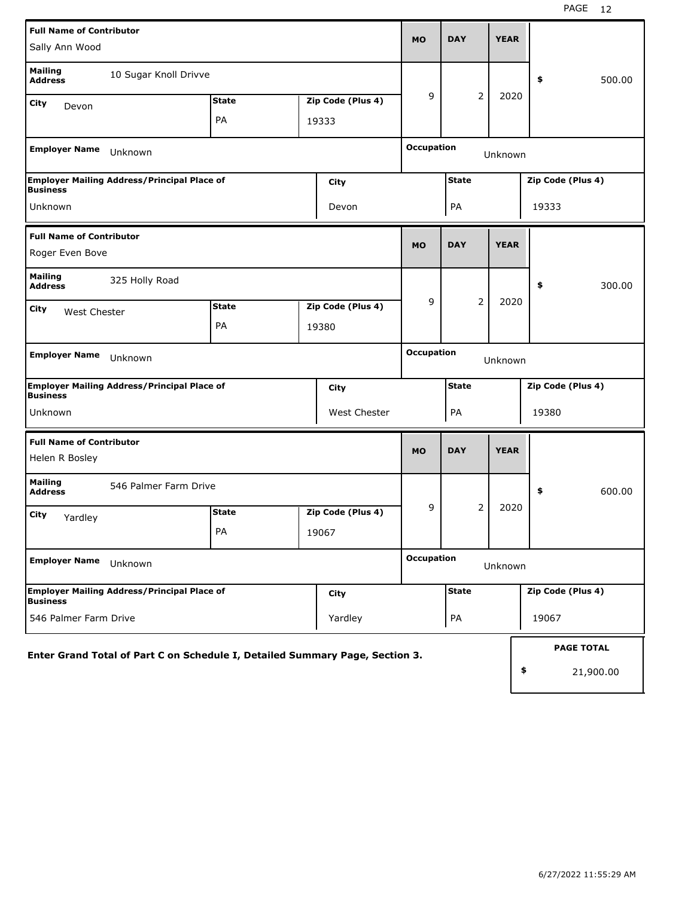| <b>Full Name of Contributor</b><br>Sally Ann Wood                            |              | <b>MO</b>                    | <b>DAY</b>        |                              | <b>YEAR</b>  |                |             |       |                   |
|------------------------------------------------------------------------------|--------------|------------------------------|-------------------|------------------------------|--------------|----------------|-------------|-------|-------------------|
| <b>Mailing</b><br>10 Sugar Knoll Drivve<br><b>Address</b>                    |              |                              |                   |                              |              |                |             | \$    | 500.00            |
| City<br>Devon                                                                | <b>State</b> |                              | Zip Code (Plus 4) | 9                            |              | $\overline{2}$ | 2020        |       |                   |
|                                                                              | PA           | 19333                        |                   |                              |              |                |             |       |                   |
| <b>Employer Name</b><br>Unknown                                              |              | <b>Occupation</b><br>Unknown |                   |                              |              |                |             |       |                   |
| <b>Employer Mailing Address/Principal Place of</b><br><b>Business</b>        |              | <b>State</b>                 | Zip Code (Plus 4) |                              |              |                |             |       |                   |
| Unknown                                                                      |              |                              | Devon             |                              | PA           |                |             | 19333 |                   |
| <b>Full Name of Contributor</b>                                              |              |                              |                   | <b>MO</b>                    | <b>DAY</b>   |                | <b>YEAR</b> |       |                   |
| Roger Even Bove                                                              |              |                              |                   |                              |              |                |             |       |                   |
| <b>Mailing</b><br>325 Holly Road<br><b>Address</b>                           |              |                              |                   |                              |              |                |             | \$    | 300.00            |
| City<br>West Chester                                                         | <b>State</b> |                              | Zip Code (Plus 4) | 9                            |              | $\overline{2}$ | 2020        |       |                   |
|                                                                              | PA           | 19380                        |                   |                              |              |                |             |       |                   |
| <b>Employer Name</b><br>Unknown                                              |              |                              |                   | <b>Occupation</b><br>Unknown |              |                |             |       |                   |
| <b>Employer Mailing Address/Principal Place of</b><br><b>Business</b>        |              |                              | City              |                              | <b>State</b> |                |             |       | Zip Code (Plus 4) |
| Unknown                                                                      |              |                              | West Chester      | PA<br>19380                  |              |                |             |       |                   |
| <b>Full Name of Contributor</b>                                              |              |                              |                   |                              |              |                |             |       |                   |
| Helen R Bosley                                                               |              |                              |                   | <b>MO</b>                    | <b>DAY</b>   |                | <b>YEAR</b> |       |                   |
| <b>Mailing</b><br>546 Palmer Farm Drive<br><b>Address</b>                    |              |                              |                   |                              |              |                |             | \$    | 600.00            |
| City<br>Yardley                                                              | <b>State</b> |                              | Zip Code (Plus 4) | 9                            |              | 2              | 2020        |       |                   |
|                                                                              | PA           | 19067                        |                   |                              |              |                |             |       |                   |
| <b>Employer Name</b><br>Unknown                                              |              | <b>Occupation</b><br>Unknown |                   |                              |              |                |             |       |                   |
| <b>Employer Mailing Address/Principal Place of</b>                           |              |                              | City              |                              | <b>State</b> |                |             |       | Zip Code (Plus 4) |
| <b>Business</b><br>546 Palmer Farm Drive<br>Yardley                          |              |                              |                   |                              | PA           |                |             | 19067 |                   |
| Enter Grand Total of Part C on Schedule I, Detailed Summary Page, Section 3. |              |                              |                   |                              |              |                |             |       | <b>PAGE TOTAL</b> |
|                                                                              |              |                              |                   | \$                           |              | 21,900.00      |             |       |                   |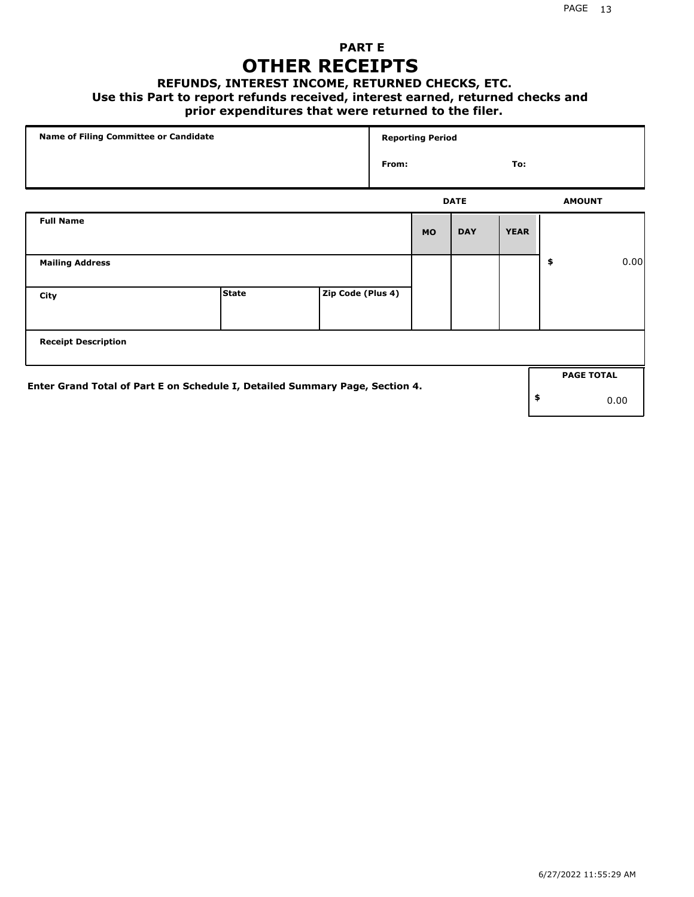### **PART E OTHER RECEIPTS**

#### **REFUNDS, INTEREST INCOME, RETURNED CHECKS, ETC.**

#### **Use this Part to report refunds received, interest earned, returned checks and**

#### **prior expenditures that were returned to the filer.**

| Name of Filing Committee or Candidate                                        |              | <b>Reporting Period</b> |       |           |             |             |    |                   |      |
|------------------------------------------------------------------------------|--------------|-------------------------|-------|-----------|-------------|-------------|----|-------------------|------|
|                                                                              |              |                         | From: |           |             | To:         |    |                   |      |
|                                                                              |              |                         |       |           | <b>DATE</b> |             |    | <b>AMOUNT</b>     |      |
| <b>Full Name</b>                                                             |              |                         |       | <b>MO</b> | <b>DAY</b>  | <b>YEAR</b> |    |                   |      |
| <b>Mailing Address</b>                                                       |              |                         |       |           |             |             | \$ |                   | 0.00 |
| City                                                                         | <b>State</b> | Zip Code (Plus 4)       |       |           |             |             |    |                   |      |
| <b>Receipt Description</b>                                                   |              |                         |       |           |             |             |    |                   |      |
| Enter Grand Total of Part E on Schedule I, Detailed Summary Page, Section 4. |              |                         |       |           |             |             |    | <b>PAGE TOTAL</b> |      |
|                                                                              |              |                         |       |           |             |             | \$ |                   | 0.00 |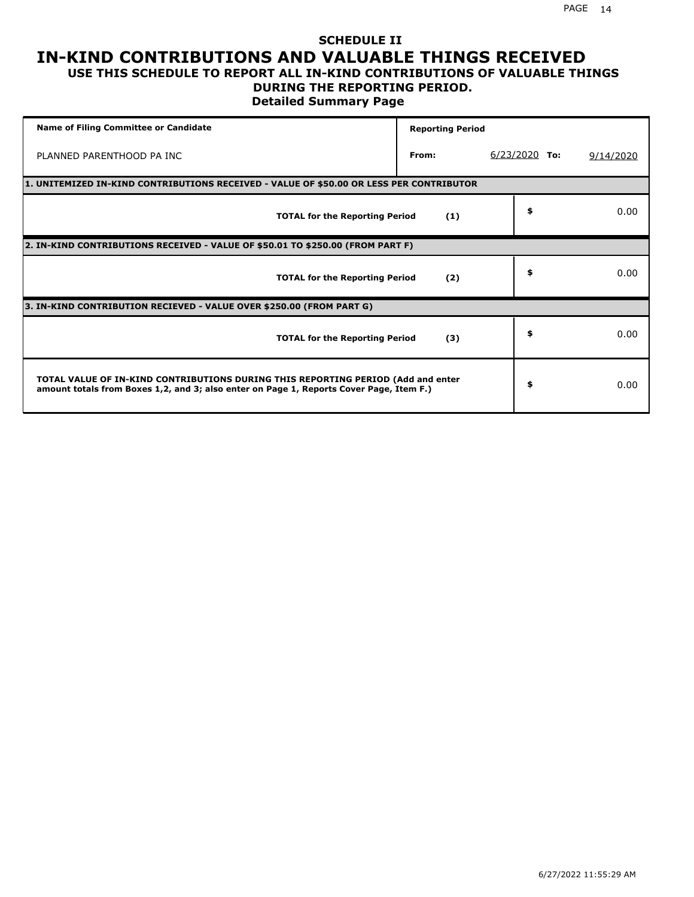#### **SCHEDULE II IN-KIND CONTRIBUTIONS AND VALUABLE THINGS RECEIVED USE THIS SCHEDULE TO REPORT ALL IN-KIND CONTRIBUTIONS OF VALUABLE THINGS**

#### **DURING THE REPORTING PERIOD.**

**Detailed Summary Page**

| <b>Name of Filing Committee or Candidate</b>                                                                                                                                | <b>Reporting Period</b> |                 |           |  |  |  |  |
|-----------------------------------------------------------------------------------------------------------------------------------------------------------------------------|-------------------------|-----------------|-----------|--|--|--|--|
| PLANNED PARENTHOOD PA INC                                                                                                                                                   | From:                   | $6/23/2020$ To: | 9/14/2020 |  |  |  |  |
| 1. UNITEMIZED IN-KIND CONTRIBUTIONS RECEIVED - VALUE OF \$50.00 OR LESS PER CONTRIBUTOR                                                                                     |                         |                 |           |  |  |  |  |
| <b>TOTAL for the Reporting Period</b>                                                                                                                                       | (1)                     | \$              | 0.00      |  |  |  |  |
| 2. IN-KIND CONTRIBUTIONS RECEIVED - VALUE OF \$50.01 TO \$250.00 (FROM PART F)                                                                                              |                         |                 |           |  |  |  |  |
| <b>TOTAL for the Reporting Period</b>                                                                                                                                       | (2)                     | \$              | 0.00      |  |  |  |  |
| 3. IN-KIND CONTRIBUTION RECIEVED - VALUE OVER \$250.00 (FROM PART G)                                                                                                        |                         |                 |           |  |  |  |  |
| <b>TOTAL for the Reporting Period</b>                                                                                                                                       | (3)                     | \$              | 0.00      |  |  |  |  |
| TOTAL VALUE OF IN-KIND CONTRIBUTIONS DURING THIS REPORTING PERIOD (Add and enter<br>amount totals from Boxes 1,2, and 3; also enter on Page 1, Reports Cover Page, Item F.) |                         | \$              | 0.00      |  |  |  |  |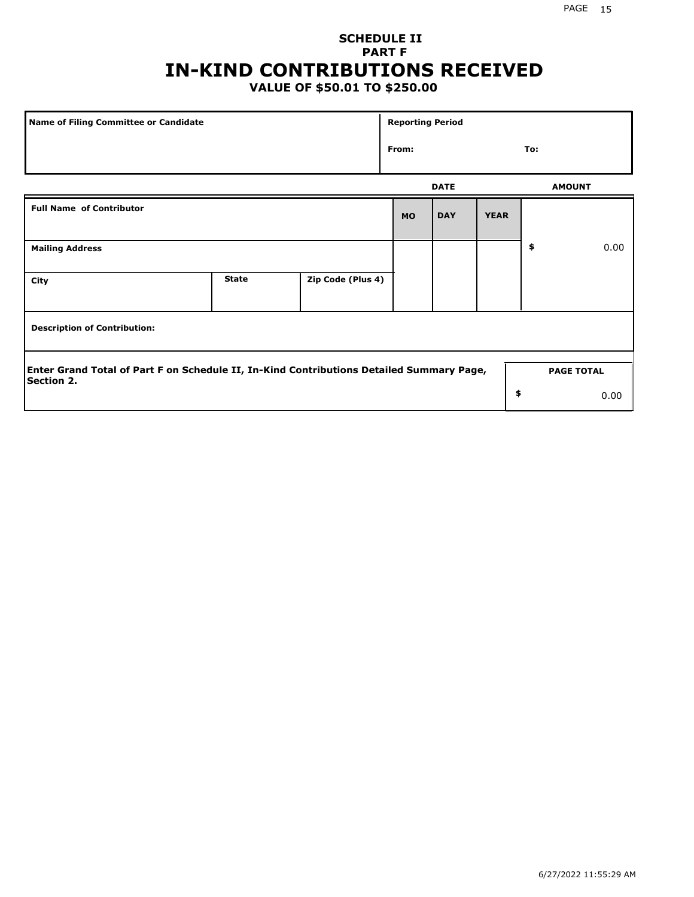# **SCHEDULE II PART F IN-KIND CONTRIBUTIONS RECEIVED**

## **VALUE OF \$50.01 TO \$250.00**

| <b>Name of Filing Committee or Candidate</b>                                                                  |              |                   | <b>Reporting Period</b> |             |             |                   |      |  |
|---------------------------------------------------------------------------------------------------------------|--------------|-------------------|-------------------------|-------------|-------------|-------------------|------|--|
|                                                                                                               |              |                   | From:                   |             |             | To:               |      |  |
|                                                                                                               |              |                   |                         | <b>DATE</b> |             | <b>AMOUNT</b>     |      |  |
| <b>Full Name of Contributor</b>                                                                               |              |                   | <b>MO</b>               | <b>DAY</b>  | <b>YEAR</b> |                   |      |  |
| <b>Mailing Address</b>                                                                                        |              |                   |                         |             |             | \$                | 0.00 |  |
| City                                                                                                          | <b>State</b> | Zip Code (Plus 4) |                         |             |             |                   |      |  |
| <b>Description of Contribution:</b>                                                                           |              |                   |                         |             |             |                   |      |  |
| Enter Grand Total of Part F on Schedule II, In-Kind Contributions Detailed Summary Page,<br><b>Section 2.</b> |              |                   |                         |             |             | <b>PAGE TOTAL</b> |      |  |
|                                                                                                               |              |                   |                         |             | \$          |                   | 0.00 |  |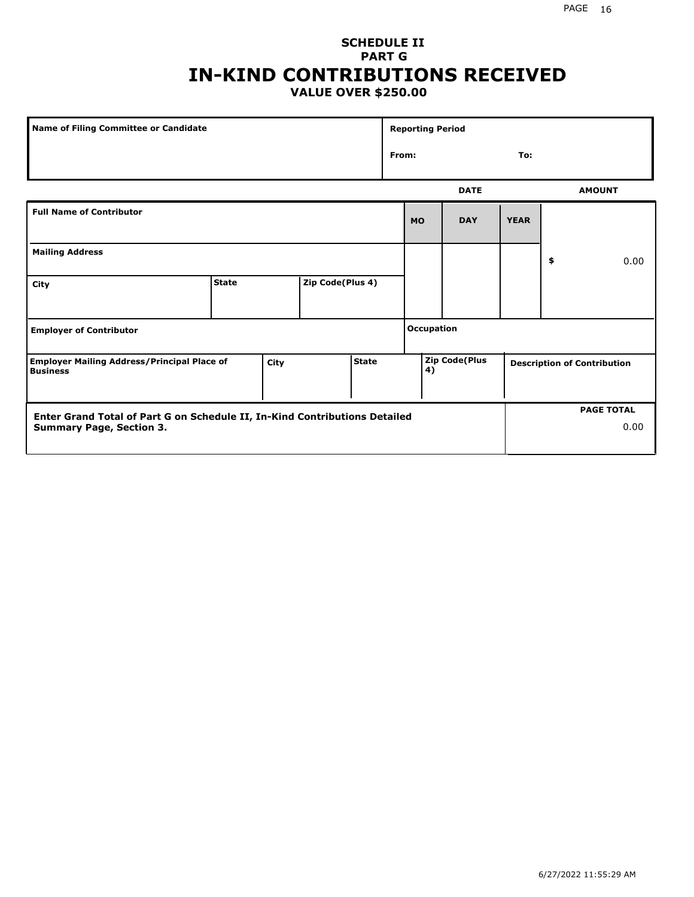#### **SCHEDULE II PART G IN-KIND CONTRIBUTIONS RECEIVED VALUE OVER \$250.00**

| Name of Filing Committee or Candidate                                 |              |                      | <b>Reporting Period</b> |  |                   |           |               |             |    |                                    |
|-----------------------------------------------------------------------|--------------|----------------------|-------------------------|--|-------------------|-----------|---------------|-------------|----|------------------------------------|
|                                                                       |              |                      |                         |  | From:             |           |               | To:         |    |                                    |
|                                                                       |              |                      |                         |  |                   |           | <b>DATE</b>   |             |    | <b>AMOUNT</b>                      |
| <b>Full Name of Contributor</b>                                       |              |                      |                         |  |                   | <b>MO</b> | <b>DAY</b>    | <b>YEAR</b> |    |                                    |
| <b>Mailing Address</b>                                                |              |                      |                         |  |                   |           |               |             | \$ | 0.00                               |
| City                                                                  | <b>State</b> |                      | Zip Code(Plus 4)        |  |                   |           |               |             |    |                                    |
| <b>Employer of Contributor</b>                                        |              |                      |                         |  | <b>Occupation</b> |           |               |             |    |                                    |
| <b>Employer Mailing Address/Principal Place of</b><br><b>Business</b> |              | <b>State</b><br>City |                         |  |                   | 4)        | Zip Code(Plus |             |    | <b>Description of Contribution</b> |

| Enter Grand Total of Part G on Schedule II, In-Kind Contributions Detailed |  | <b>PAGE TOTAL</b> |
|----------------------------------------------------------------------------|--|-------------------|
| <b>Summary Page, Section 3.</b>                                            |  | 0.00              |
|                                                                            |  |                   |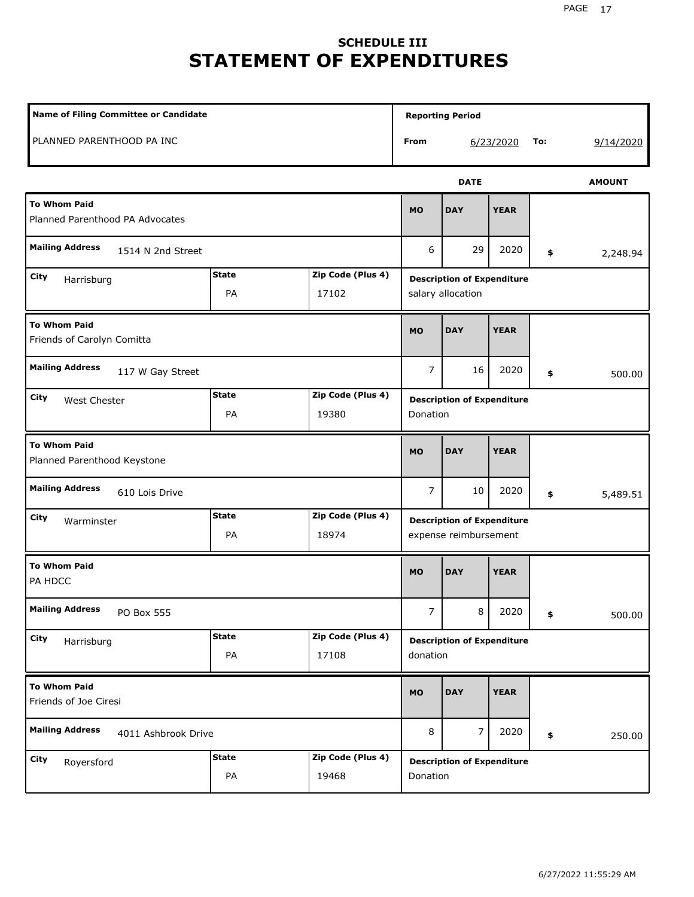# **SCHEDULE III STATEMENT OF EXPENDITURES**

| Name of Filing Committee or Candidate                                  |                    |                            | <b>Reporting Period</b>                                    |                  |             |    |               |  |
|------------------------------------------------------------------------|--------------------|----------------------------|------------------------------------------------------------|------------------|-------------|----|---------------|--|
| PLANNED PARENTHOOD PA INC                                              |                    |                            | From                                                       | 6/23/2020<br>To: |             |    | 9/14/2020     |  |
|                                                                        |                    |                            |                                                            | <b>DATE</b>      |             |    | <b>AMOUNT</b> |  |
| <b>To Whom Paid</b><br>Planned Parenthood PA Advocates                 |                    |                            | <b>MO</b>                                                  | <b>DAY</b>       | <b>YEAR</b> |    |               |  |
| <b>Mailing Address</b><br>1514 N 2nd Street                            |                    |                            | 6                                                          | 29               | 2020        | \$ | 2,248.94      |  |
| <b>State</b><br>Zip Code (Plus 4)<br>City<br>Harrisburg<br>PA<br>17102 |                    |                            | <b>Description of Expenditure</b><br>salary allocation     |                  |             |    |               |  |
| <b>To Whom Paid</b><br>Friends of Carolyn Comitta                      |                    |                            |                                                            | <b>DAY</b>       | <b>YEAR</b> |    |               |  |
| <b>Mailing Address</b><br>117 W Gay Street                             |                    |                            | 7                                                          | 16               | 2020        | \$ | 500.00        |  |
| City<br>West Chester                                                   | <b>State</b><br>PA | Zip Code (Plus 4)<br>19380 | <b>Description of Expenditure</b><br>Donation              |                  |             |    |               |  |
| <b>To Whom Paid</b><br>Planned Parenthood Keystone                     |                    |                            | <b>MO</b>                                                  | <b>DAY</b>       | <b>YEAR</b> |    |               |  |
| <b>Mailing Address</b><br>610 Lois Drive                               |                    |                            | $\overline{7}$                                             | 10               | 2020        | \$ | 5,489.51      |  |
| Zip Code (Plus 4)<br><b>State</b><br>City<br>Warminster<br>PA<br>18974 |                    |                            | <b>Description of Expenditure</b><br>expense reimbursement |                  |             |    |               |  |
| <b>To Whom Paid</b><br>PA HDCC                                         |                    |                            | <b>MO</b>                                                  | <b>DAY</b>       | <b>YEAR</b> |    |               |  |
| <b>Mailing Address</b><br>PO Box 555                                   |                    |                            | $\overline{7}$                                             | 8                | 2020        | \$ | 500.00        |  |
| <b>State</b><br>Zip Code (Plus 4)<br>City<br>Harrisburg<br>PA<br>17108 |                    |                            | <b>Description of Expenditure</b><br>donation              |                  |             |    |               |  |
| <b>To Whom Paid</b><br>Friends of Joe Ciresi                           |                    |                            | <b>MO</b>                                                  | <b>DAY</b>       | <b>YEAR</b> |    |               |  |
| <b>Mailing Address</b><br>4011 Ashbrook Drive                          |                    |                            | 8                                                          | 7                | 2020        | \$ | 250.00        |  |
| City<br>Royersford                                                     | <b>State</b><br>PA | Zip Code (Plus 4)<br>19468 | <b>Description of Expenditure</b><br>Donation              |                  |             |    |               |  |